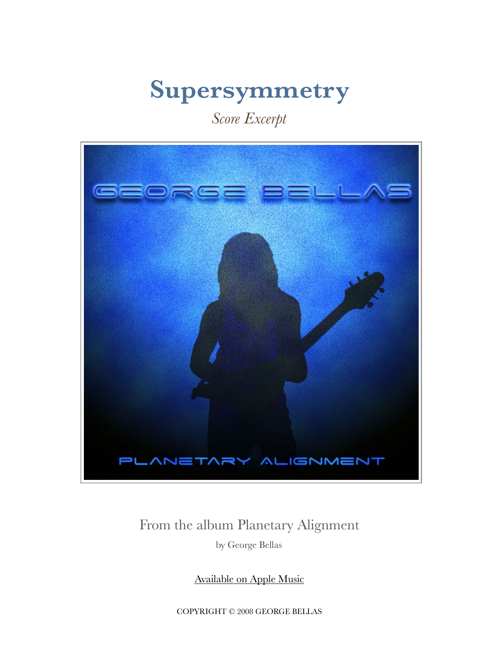# **Supersymmetry**

### *Score Excerpt*



#### From the album Planetary Alignment

by George Bellas

[Available on Apple Music](https://itunes.apple.com/us/album/planetary-alignment/id276380101)

COPYRIGHT © 2008 GEORGE BELLAS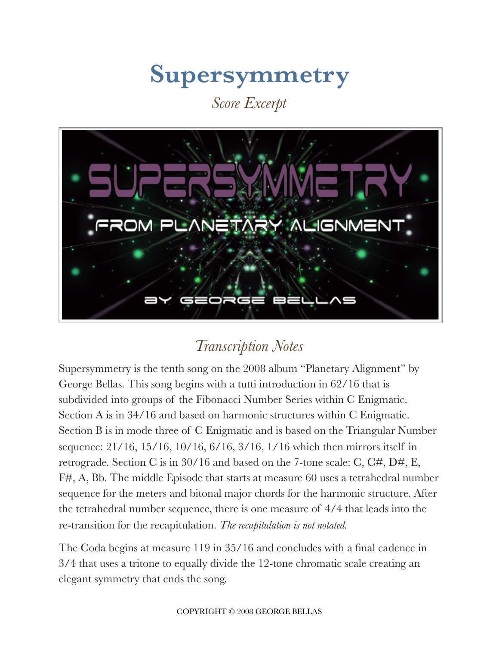## **Supersymmetry**

*Score Excerpt* 



### *Transcription Notes*

Supersymmetry is the tenth song on the 2008 album "Planetary Alignment" by George Bellas. This song begins with a tutti introduction in 62/16 that is subdivided into groups of the Fibonacci Number Series within C Enigmatic. Section A is in 34/16 and based on harmonic structures within C Enigmatic. Section B is in mode three of C Enigmatic and is based on the Triangular Number sequence: 21/16, 15/16, 10/16, 6/16, 3/16, 1/16 which then mirrors itself in retrograde. Section C is in 30/16 and based on the 7-tone scale: C, C#, D#, E, F#, A, Bb. The middle Episode that starts at measure 60 uses a tetrahedral number sequence for the meters and bitonal major chords for the harmonic structure. After the tetrahedral number sequence, there is one measure of 4/4 that leads into the re-transition for the recapitulation. *The recapitulation is not notated.* 

The Coda begins at measure 119 in 35/16 and concludes with a final cadence in 3/4 that uses a tritone to equally divide the 12-tone chromatic scale creating an elegant symmetry that ends the song.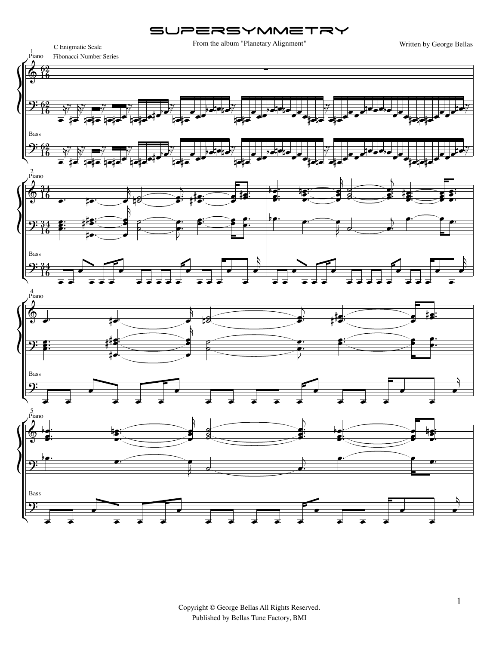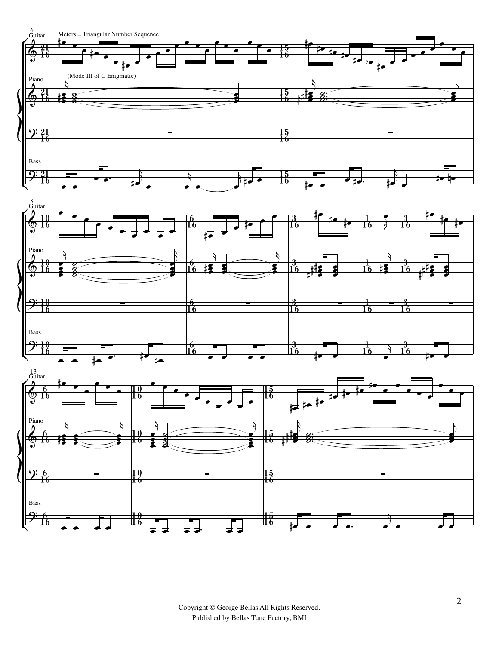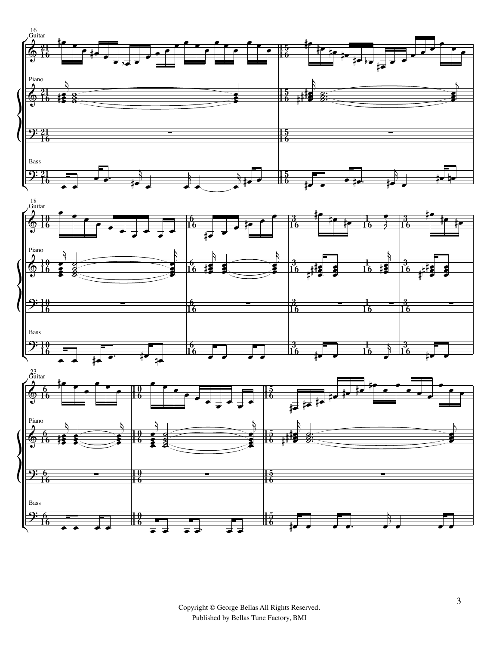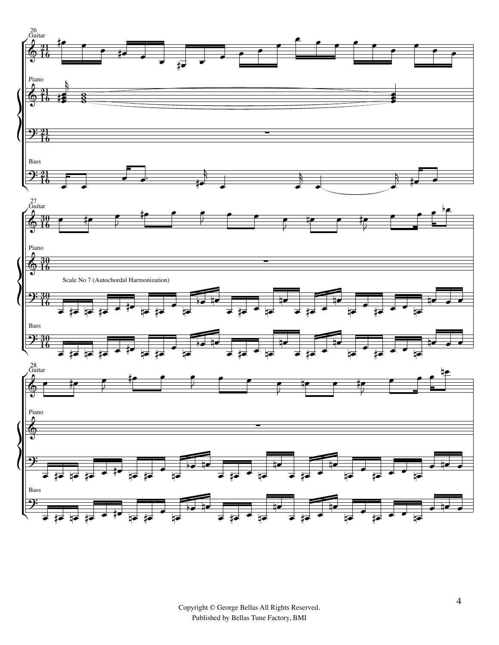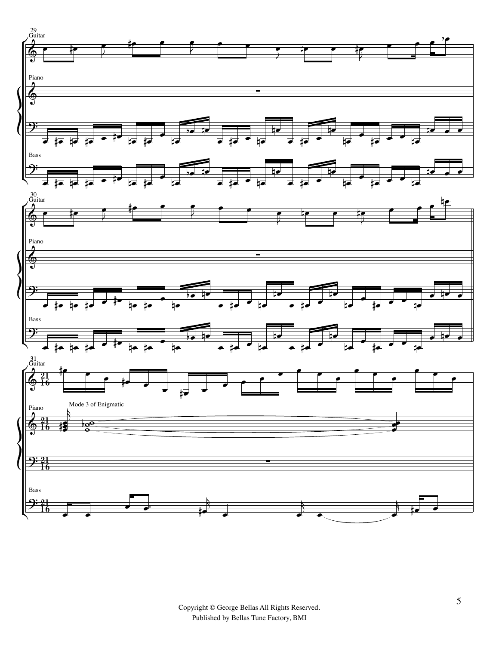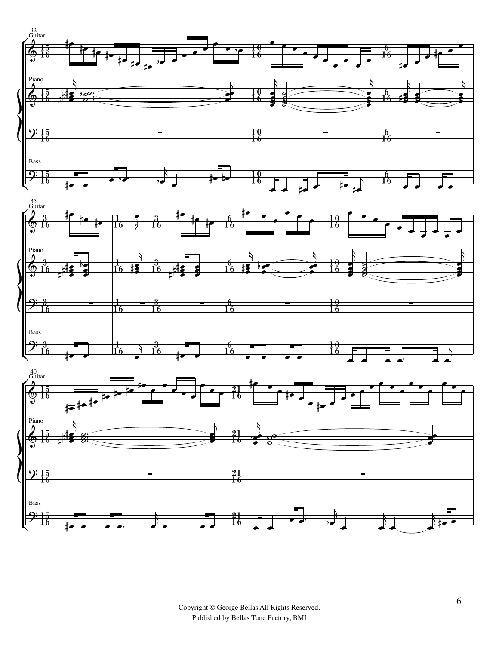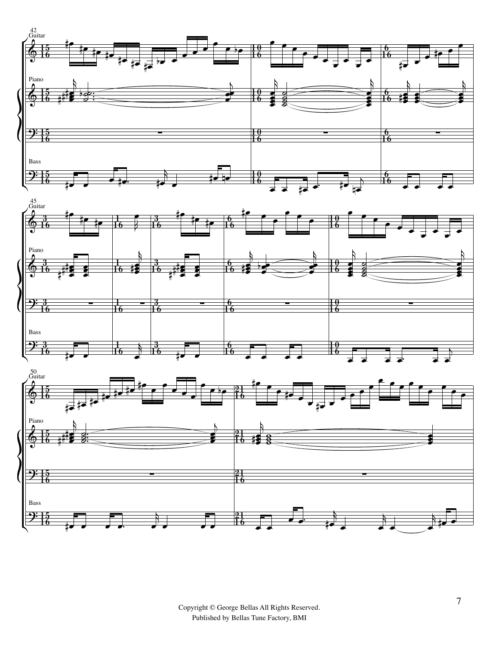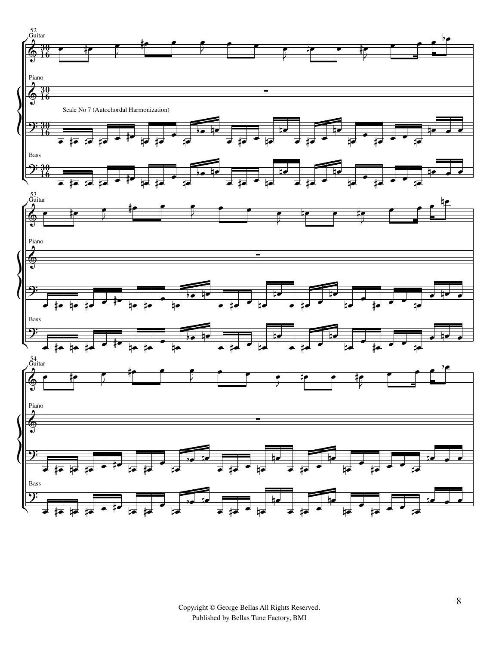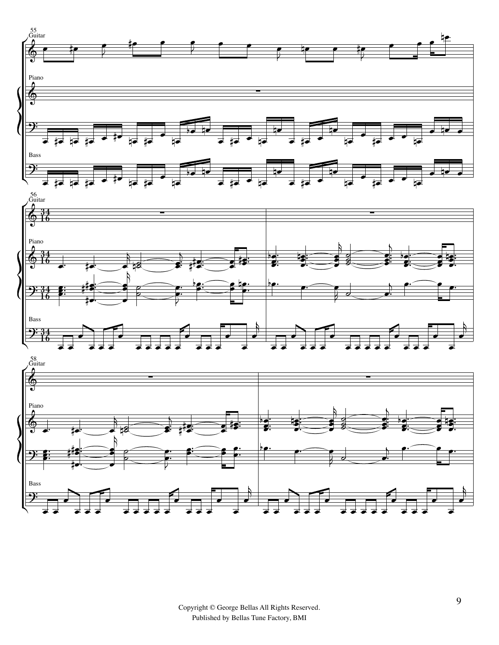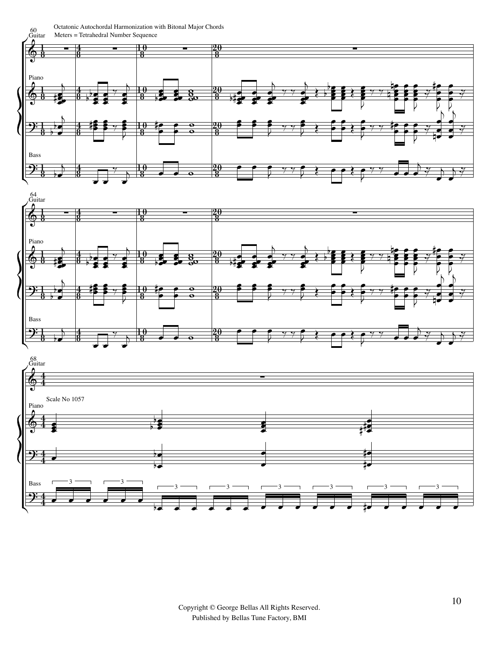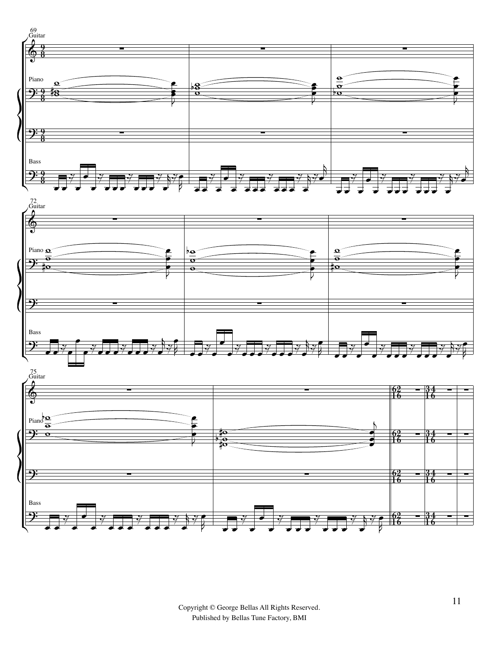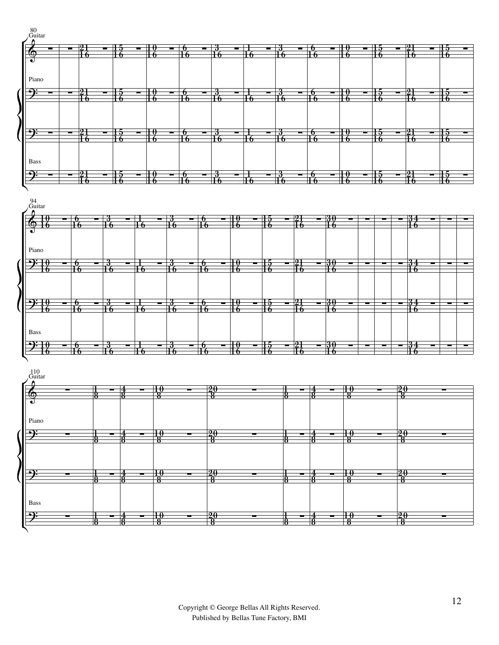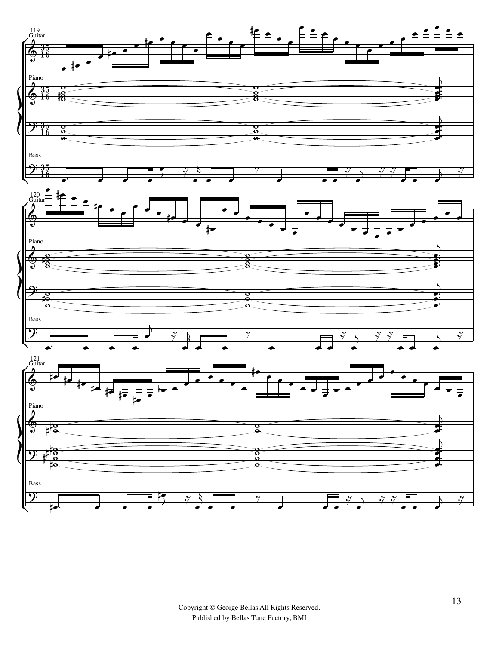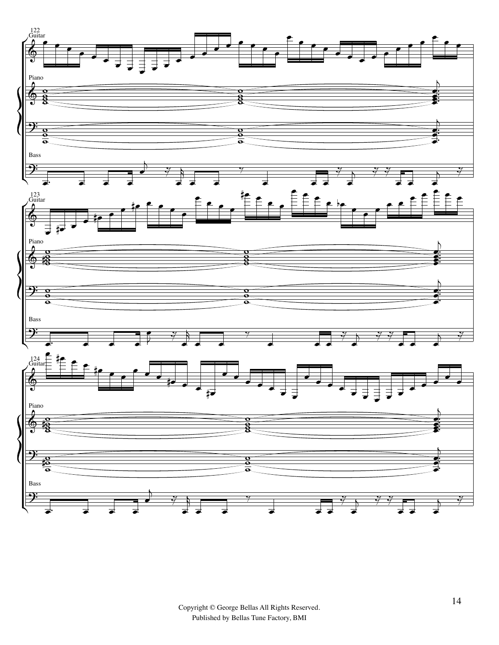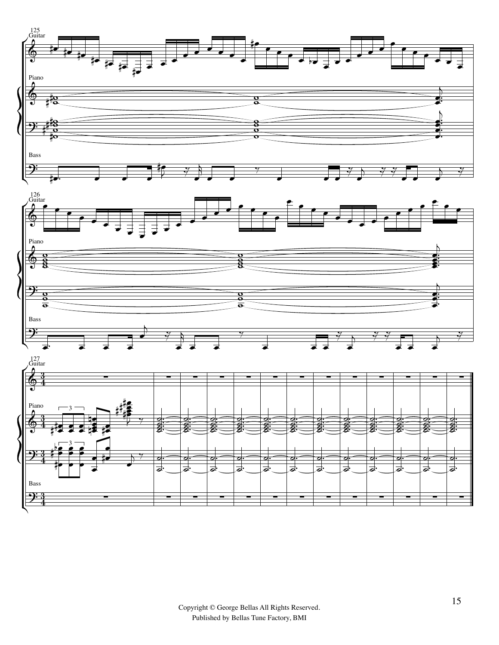